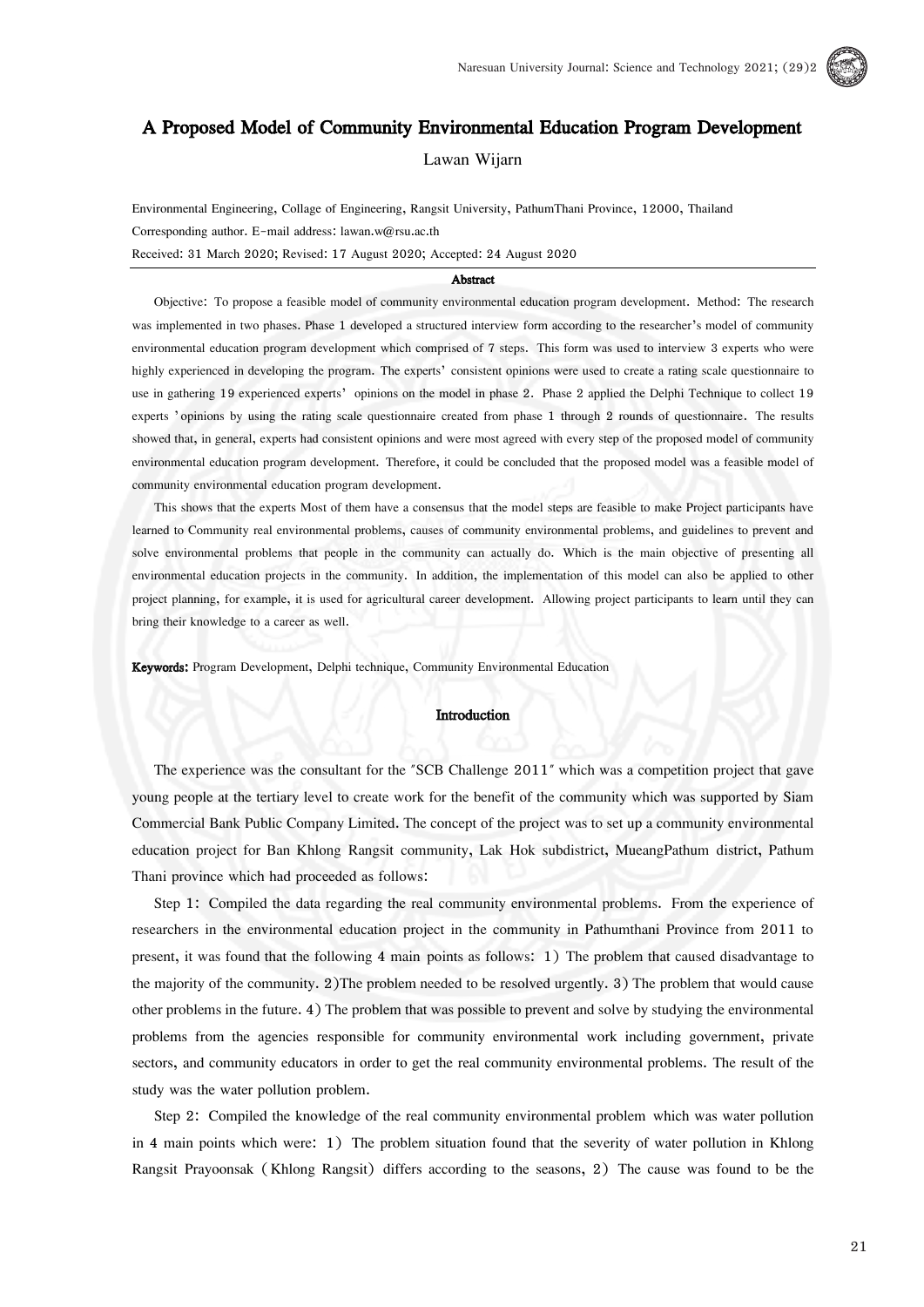# A Proposed Model of Community Environmental Education Program Development

Lawan Wijarn

Environmental Engineering, Collage of Engineering, Rangsit University, PathumThani Province, 12000, Thailand Corresponding author. E-mail address: lawan.w@rsu.ac.th Received: 31 March 2020; Revised: 17 August 2020; Accepted: 24 August 2020

## Abstract

Objective: To propose a feasible model of community environmental education program development. Method: The research was implemented in two phases. Phase 1 developed a structured interview form according to the researcher's model of community environmental education program development which comprised of 7 steps. This form was used to interview 3 experts who were highly experienced in developing the program. The experts' consistent opinions were used to create a rating scale questionnaire to use in gathering 19 experienced experts' opinions on the model in phase 2. Phase 2 applied the Delphi Technique to collect 19 experts 'opinions by using the rating scale questionnaire created from phase 1 through 2 rounds of questionnaire. The results showed that, in general, experts had consistent opinions and were most agreed with every step of the proposed model of community environmental education program development. Therefore, it could be concluded that the proposed model was a feasible model of community environmental education program development.

This shows that the experts Most of them have a consensus that the model steps are feasible to make Project participants have learned to Community real environmental problems, causes of community environmental problems, and guidelines to prevent and solve environmental problems that people in the community can actually do. Which is the main objective of presenting all environmental education projects in the community. In addition, the implementation of this model can also be applied to other project planning, for example, it is used for agricultural career development. Allowing project participants to learn until they can bring their knowledge to a career as well.

Keywords: Program Development, Delphi technique, Community Environmental Education

#### Introduction

The experience was the consultant for the "SCB Challenge 2011" which was a competition project that gave young people at the tertiary level to create work for the benefit of the community which was supported by Siam Commercial Bank Public Company Limited. The concept of the project was to set up a community environmental education project for Ban Khlong Rangsit community, Lak Hok subdistrict, MueangPathum district, Pathum Thani province which had proceeded as follows:

Step 1: Compiled the data regarding the real community environmental problems. From the experience of researchers in the environmental education project in the community in Pathumthani Province from 2011 to present, it was found that the following 4 main points as follows: 1) The problem that caused disadvantage to the majority of the community. 2)The problem needed to be resolved urgently. 3) The problem that would cause other problems in the future. 4) The problem that was possible to prevent and solve by studying the environmental problems from the agencies responsible for community environmental work including government, private sectors, and community educators in order to get the real community environmental problems. The result of the study was the water pollution problem.

Step 2: Compiled the knowledge of the real community environmental problem which was water pollution in 4 main points which were: 1) The problem situation found that the severity of water pollution in Khlong Rangsit Prayoonsak (Khlong Rangsit) differs according to the seasons, 2) The cause was found to be the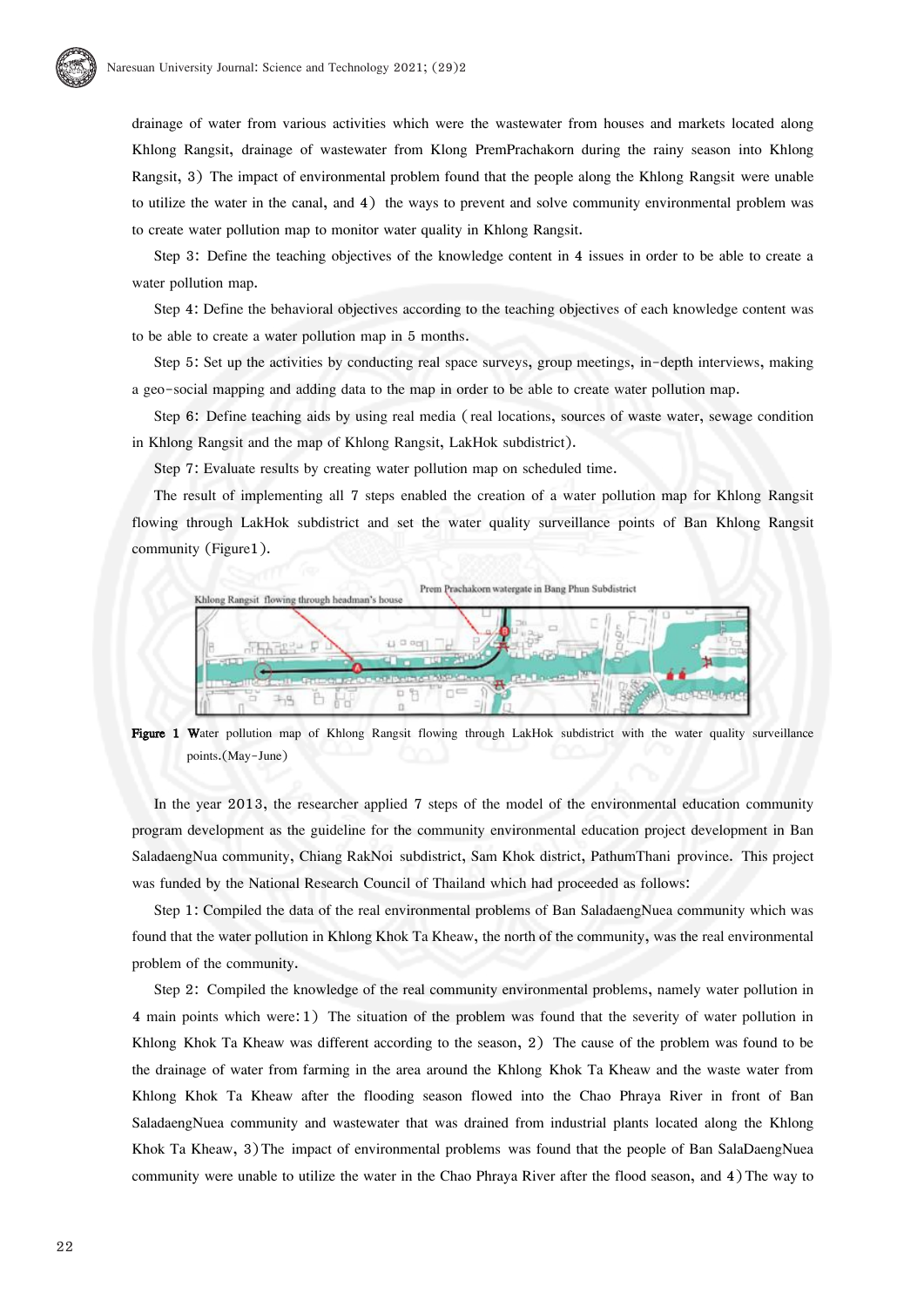

drainage of water from various activities which were the wastewater from houses and markets located along Khlong Rangsit, drainage of wastewater from Klong PremPrachakorn during the rainy season into Khlong Rangsit, 3) The impact of environmental problem found that the people along the Khlong Rangsit were unable to utilize the water in the canal, and 4) the ways to prevent and solve community environmental problem was to create water pollution map to monitor water quality in Khlong Rangsit.

Step 3: Define the teaching objectives of the knowledge content in 4 issues in order to be able to create a water pollution map.

Step 4: Define the behavioral objectives according to the teaching objectives of each knowledge content was to be able to create a water pollution map in 5 months.

Step 5: Set up the activities by conducting real space surveys, group meetings, in-depth interviews, making a geo-social mapping and adding data to the map in order to be able to create water pollution map.

Step 6: Define teaching aids by using real media (real locations, sources of waste water, sewage condition in Khlong Rangsit and the map of Khlong Rangsit, LakHok subdistrict).

Step 7: Evaluate results by creating water pollution map on scheduled time.

The result of implementing all 7 steps enabled the creation of a water pollution map for Khlong Rangsit flowing through LakHok subdistrict and set the water quality surveillance points of Ban Khlong Rangsit community (Figure1).



Figure 1 Water pollution map of Khlong Rangsit flowing through LakHok subdistrict with the water quality surveillance points.(May-June)

In the year 2013, the researcher applied 7 steps of the model of the environmental education community program development as the guideline for the community environmental education project development in Ban SaladaengNua community, Chiang RakNoi subdistrict, Sam Khok district, PathumThani province. This project was funded by the National Research Council of Thailand which had proceeded as follows:

Step 1: Compiled the data of the real environmental problems of Ban SaladaengNuea community which was found that the water pollution in Khlong Khok Ta Kheaw, the north of the community, was the real environmental problem of the community.

Step 2: Compiled the knowledge of the real community environmental problems, namely water pollution in 4 main points which were: 1) The situation of the problem was found that the severity of water pollution in Khlong Khok Ta Kheaw was different according to the season, 2) The cause of the problem was found to be the drainage of water from farming in the area around the Khlong Khok Ta Kheaw and the waste water from Khlong Khok Ta Kheaw after the flooding season flowed into the Chao Phraya River in front of Ban SaladaengNuea community and wastewater that was drained from industrial plants located along the Khlong Khok Ta Kheaw, 3) The impact of environmental problems was found that the people of Ban SalaDaengNuea community were unable to utilize the water in the Chao Phraya River after the flood season, and 4) The way to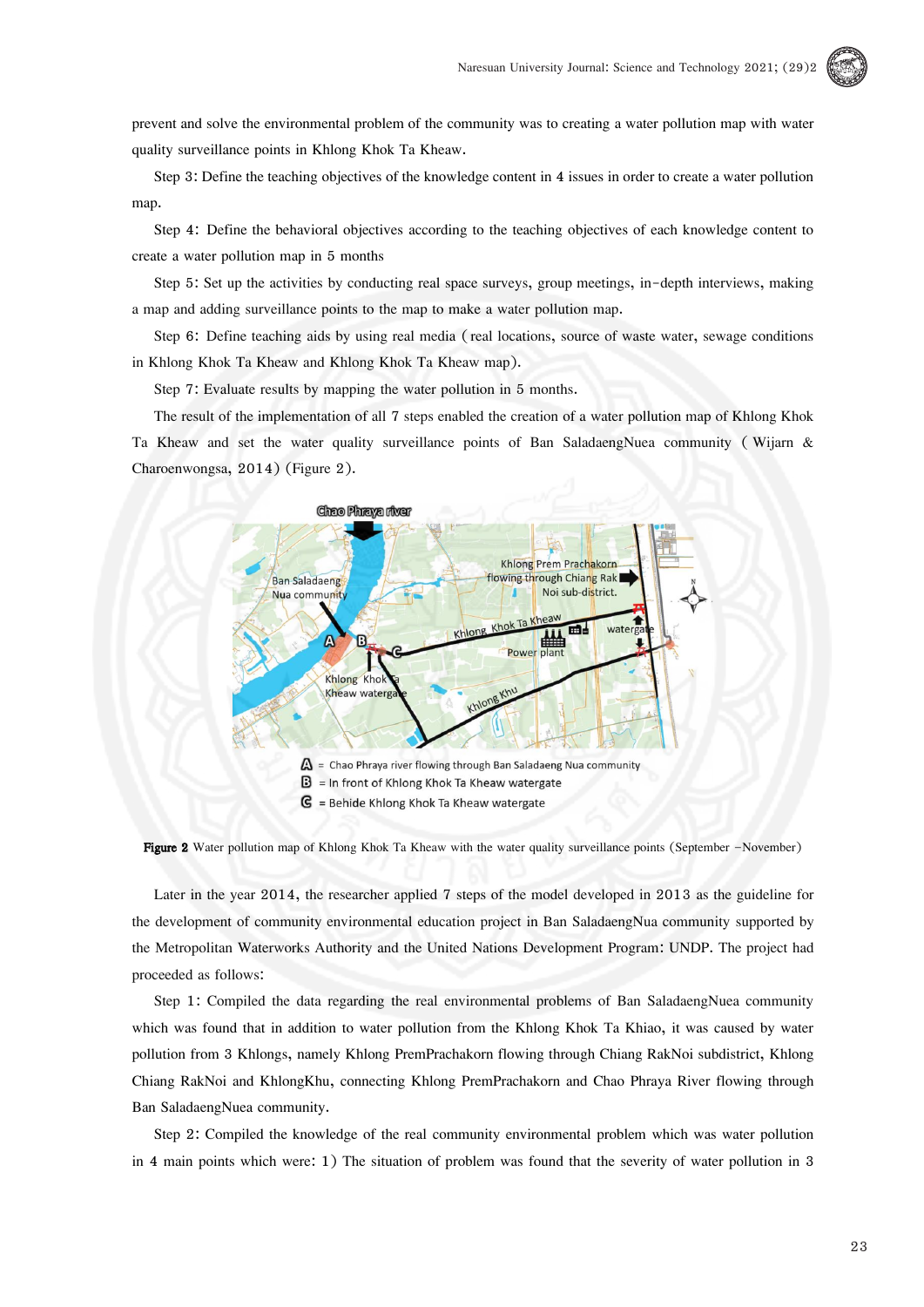

prevent and solve the environmental problem of the community was to creating a water pollution map with water quality surveillance points in Khlong Khok Ta Kheaw.

Step 3: Define the teaching objectives of the knowledge content in 4 issues in order to create a water pollution map.

Step 4: Define the behavioral objectives according to the teaching objectives of each knowledge content to create a water pollution map in 5 months

Step 5: Set up the activities by conducting real space surveys, group meetings, in-depth interviews, making a map and adding surveillance points to the map to make a water pollution map.

Step 6: Define teaching aids by using real media (real locations, source of waste water, sewage conditions in Khlong Khok Ta Kheaw and Khlong Khok Ta Kheaw map).

Step 7: Evaluate results by mapping the water pollution in 5 months.

The result of the implementation of all 7 steps enabled the creation of a water pollution map of Khlong Khok Ta Kheaw and set the water quality surveillance points of Ban SaladaengNuea community ( Wijarn & Charoenwongsa, 2014) (Figure 2).



Figure 2 Water pollution map of Khlong Khok Ta Kheaw with the water quality surveillance points (September –November)

Later in the year 2014, the researcher applied 7 steps of the model developed in 2013 as the guideline for the development of community environmental education project in Ban SaladaengNua community supported by the Metropolitan Waterworks Authority and the United Nations Development Program: UNDP. The project had proceeded as follows:

Step 1: Compiled the data regarding the real environmental problems of Ban SaladaengNuea community which was found that in addition to water pollution from the Khlong Khok Ta Khiao, it was caused by water pollution from 3 Khlongs, namely Khlong PremPrachakorn flowing through Chiang RakNoi subdistrict, Khlong Chiang RakNoi and KhlongKhu, connecting Khlong PremPrachakorn and Chao Phraya River flowing through Ban SaladaengNuea community.

Step 2: Compiled the knowledge of the real community environmental problem which was water pollution in 4 main points which were: 1) The situation of problem was found that the severity of water pollution in 3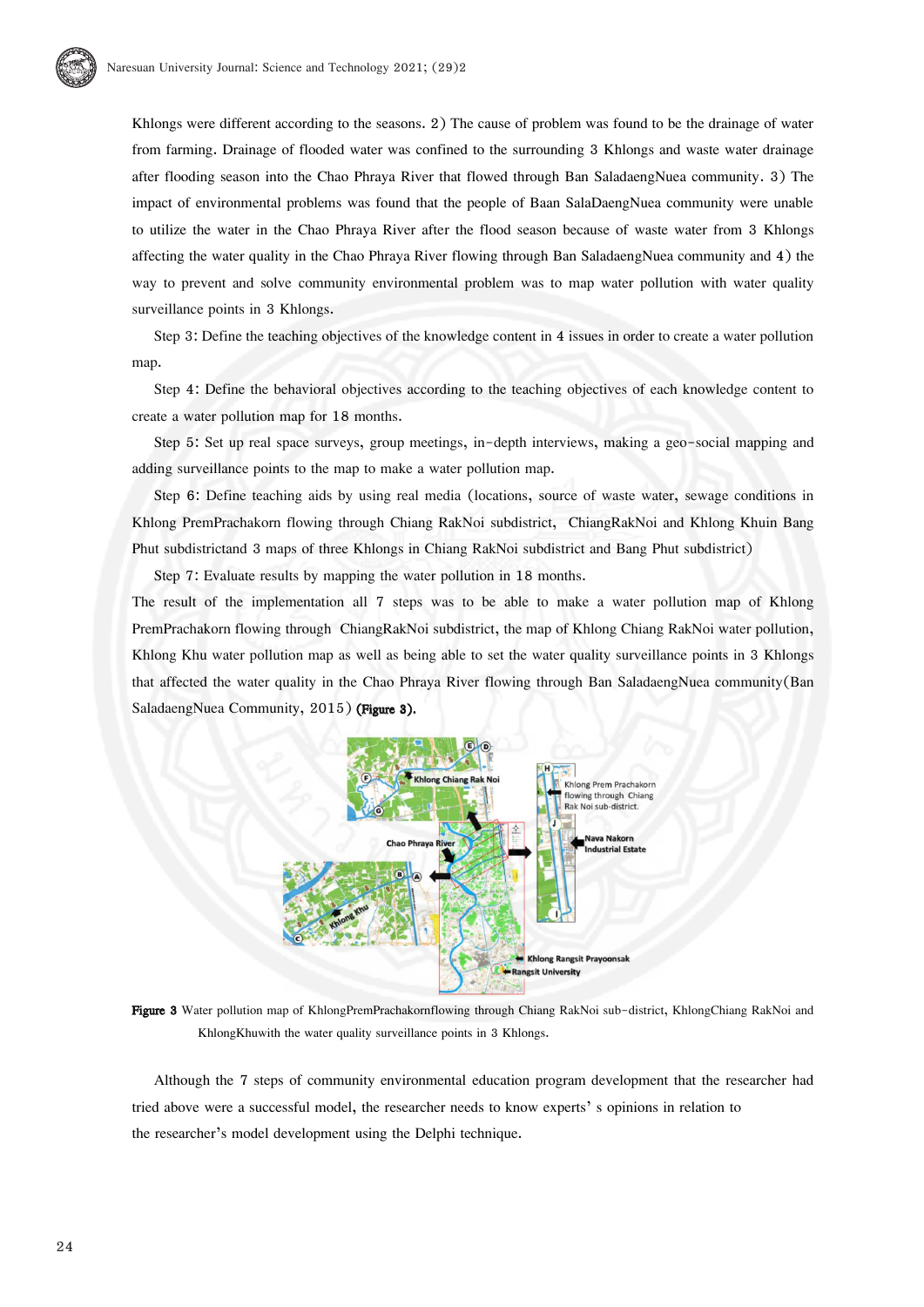Khlongs were different according to the seasons. 2) The cause of problem was found to be the drainage of water from farming. Drainage of flooded water was confined to the surrounding 3 Khlongs and waste water drainage after flooding season into the Chao Phraya River that flowed through Ban SaladaengNuea community. 3) The impact of environmental problems was found that the people of Baan SalaDaengNuea community were unable to utilize the water in the Chao Phraya River after the flood season because of waste water from 3 Khlongs affecting the water quality in the Chao Phraya River flowing through Ban SaladaengNuea community and 4) the way to prevent and solve community environmental problem was to map water pollution with water quality surveillance points in 3 Khlongs.

Step 3: Define the teaching objectives of the knowledge content in 4 issues in order to create a water pollution map.

Step 4: Define the behavioral objectives according to the teaching objectives of each knowledge content to create a water pollution map for 18 months.

Step 5: Set up real space surveys, group meetings, in-depth interviews, making a geo-social mapping and adding surveillance points to the map to make a water pollution map.

Step 6: Define teaching aids by using real media (locations, source of waste water, sewage conditions in Khlong PremPrachakorn flowing through Chiang RakNoi subdistrict, ChiangRakNoi and Khlong Khuin Bang Phut subdistrictand 3 maps of three Khlongs in Chiang RakNoi subdistrict and Bang Phut subdistrict)

Step 7: Evaluate results by mapping the water pollution in 18 months.

The result of the implementation all 7 steps was to be able to make a water pollution map of Khlong PremPrachakorn flowing through ChiangRakNoi subdistrict, the map of Khlong Chiang RakNoi water pollution, Khlong Khu water pollution map as well as being able to set the water quality surveillance points in 3 Khlongs that affected the water quality in the Chao Phraya River flowing through Ban SaladaengNuea community(Ban SaladaengNuea Community, 2015) (Figure 3).



Figure 3 Water pollution map of KhlongPremPrachakornflowing through Chiang RakNoi sub-district, KhlongChiang RakNoi and KhlongKhuwith the water quality surveillance points in 3 Khlongs.

Although the 7 steps of community environmental education program development that the researcher had tried above were a successful model, the researcher needs to know experts' s opinions in relation to the researcher's model development using the Delphi technique.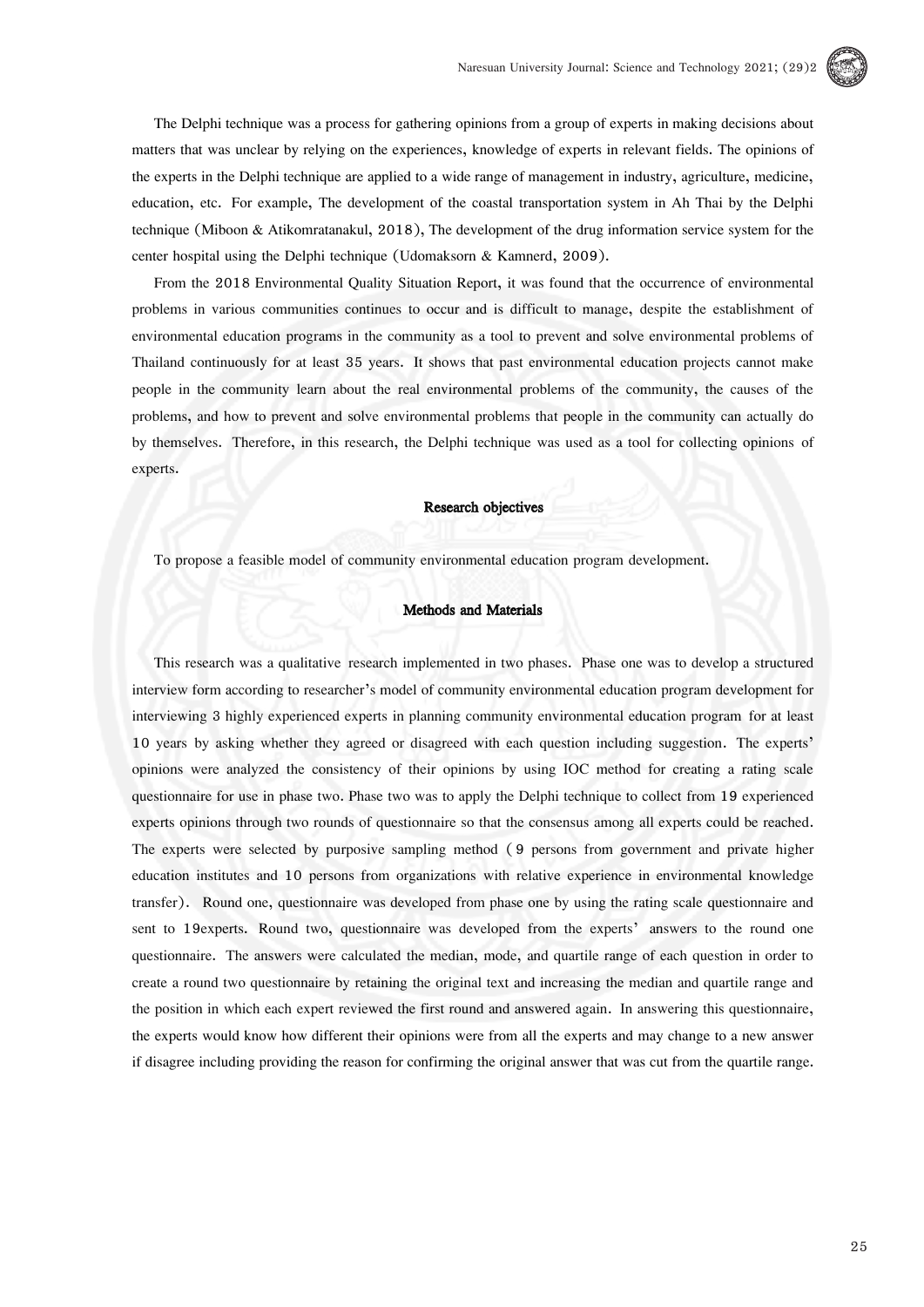

The Delphi technique was a process for gathering opinions from a group of experts in making decisions about matters that was unclear by relying on the experiences, knowledge of experts in relevant fields. The opinions of the experts in the Delphi technique are applied to a wide range of management in industry, agriculture, medicine, education, etc. For example, The development of the coastal transportation system in Ah Thai by the Delphi technique (Miboon & Atikomratanakul, 2018), The development of the drug information service system for the center hospital using the Delphi technique (Udomaksorn & Kamnerd, 2009).

From the 2018 Environmental Quality Situation Report, it was found that the occurrence of environmental problems in various communities continues to occur and is difficult to manage, despite the establishment of environmental education programs in the community as a tool to prevent and solve environmental problems of Thailand continuously for at least 35 years. It shows that past environmental education projects cannot make people in the community learn about the real environmental problems of the community, the causes of the problems, and how to prevent and solve environmental problems that people in the community can actually do by themselves. Therefore, in this research, the Delphi technique was used as a tool for collecting opinions of experts.

#### Research objectives

To propose a feasible model of community environmental education program development.

#### Methods and Materials

This research was a qualitative research implemented in two phases. Phase one was to develop a structured interview form according to researcher's model of community environmental education program development for interviewing 3 highly experienced experts in planning community environmental education program for at least 10 years by asking whether they agreed or disagreed with each question including suggestion. The experts' opinions were analyzed the consistency of their opinions by using IOC method for creating a rating scale questionnaire for use in phase two. Phase two was to apply the Delphi technique to collect from 19 experienced experts opinions through two rounds of questionnaire so that the consensus among all experts could be reached. The experts were selected by purposive sampling method ( 9 persons from government and private higher education institutes and 10 persons from organizations with relative experience in environmental knowledge transfer). Round one, questionnaire was developed from phase one by using the rating scale questionnaire and sent to 19experts. Round two, questionnaire was developed from the experts' answers to the round one questionnaire. The answers were calculated the median, mode, and quartile range of each question in order to create a round two questionnaire by retaining the original text and increasing the median and quartile range and the position in which each expert reviewed the first round and answered again. In answering this questionnaire, the experts would know how different their opinions were from all the experts and may change to a new answer if disagree including providing the reason for confirming the original answer that was cut from the quartile range.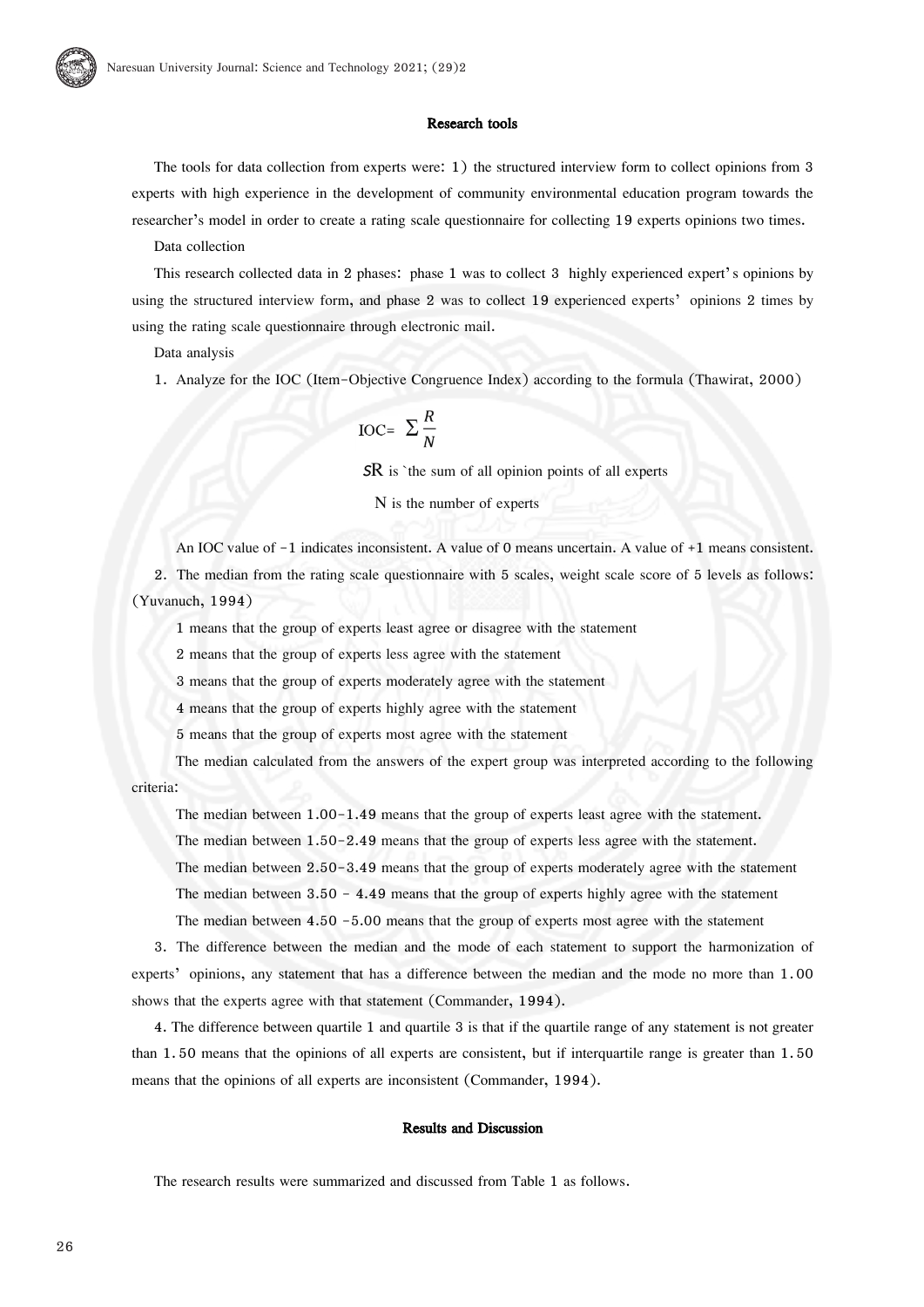# Research tools

The tools for data collection from experts were: 1) the structured interview form to collect opinions from 3 experts with high experience in the development of community environmental education program towards the researcher's model in order to create a rating scale questionnaire for collecting 19 experts opinions two times.

Data collection

This research collected data in 2 phases: phase 1 was to collect 3 highly experienced expert's opinions by using the structured interview form, and phase 2 was to collect 19 experienced experts' opinions 2 times by using the rating scale questionnaire through electronic mail.

Data analysis

1. Analyze for the IOC (Item-Objective Congruence Index) according to the formula (Thawirat, 2000)

$$
_{\text{IOC=}}\Sigma \frac{R}{N}
$$

**SR** is 'the sum of all opinion points of all experts

N is the number of experts

An IOC value of -1 indicates inconsistent. A value of 0 means uncertain. A value of +1 means consistent.

2. The median from the rating scale questionnaire with 5 scales, weight scale score of 5 levels as follows: (Yuvanuch, 1994)

1 means that the group of experts least agree or disagree with the statement

2 means that the group of experts less agree with the statement

3 means that the group of experts moderately agree with the statement

4 means that the group of experts highly agree with the statement

5 means that the group of experts most agree with the statement

 The median calculated from the answers of the expert group was interpreted according to the following criteria:

The median between 1.00-1.49 means that the group of experts least agree with the statement.

The median between 1.50-2.49 means that the group of experts less agree with the statement.

The median between 2.50-3.49 means that the group of experts moderately agree with the statement

The median between  $3.50 - 4.49$  means that the group of experts highly agree with the statement

The median between 4.50 -5.00 means that the group of experts most agree with the statement

3. The difference between the median and the mode of each statement to support the harmonization of experts' opinions, any statement that has a difference between the median and the mode no more than 1.00 shows that the experts agree with that statement (Commander, 1994).

4. The difference between quartile 1 and quartile 3 is that if the quartile range of any statement is not greater than 1. 50 means that the opinions of all experts are consistent, but if interquartile range is greater than 1.50 means that the opinions of all experts are inconsistent (Commander, 1994).

#### Results and Discussion

The research results were summarized and discussed from Table 1 as follows.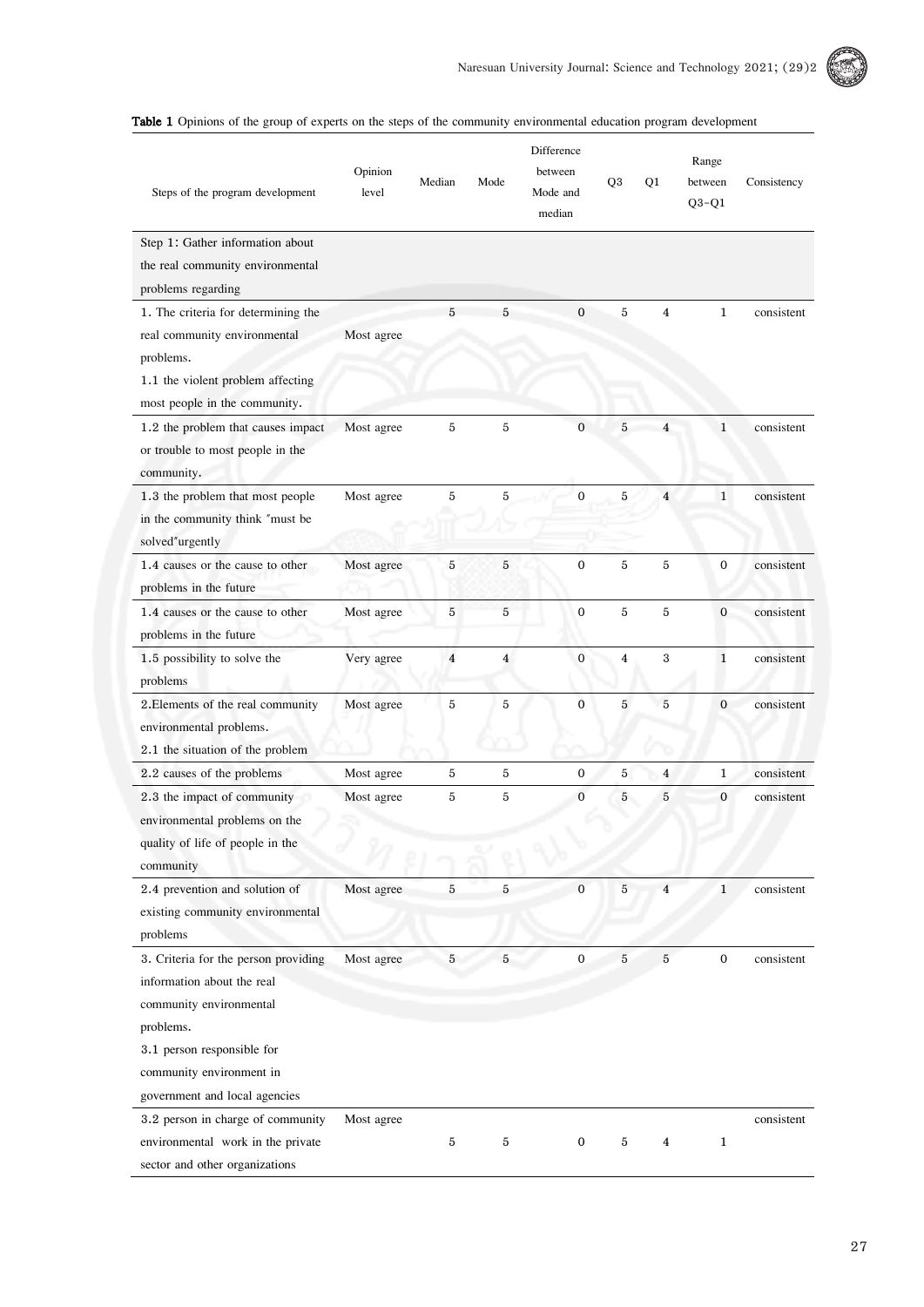

| Table 1 Opinions of the group of experts on the steps of the community environmental education program development |  |  |  |  |  |  |  |  |  |  |  |  |  |
|--------------------------------------------------------------------------------------------------------------------|--|--|--|--|--|--|--|--|--|--|--|--|--|
|--------------------------------------------------------------------------------------------------------------------|--|--|--|--|--|--|--|--|--|--|--|--|--|

| Steps of the program development                                                                                                                                                                      | Opinion<br>level | Median                  | Mode           | Difference<br>between<br>Mode and<br>median | Q3             | Q1             | Range<br>between<br>$Q3-Q1$ | Consistency |
|-------------------------------------------------------------------------------------------------------------------------------------------------------------------------------------------------------|------------------|-------------------------|----------------|---------------------------------------------|----------------|----------------|-----------------------------|-------------|
| Step 1: Gather information about<br>the real community environmental<br>problems regarding                                                                                                            |                  |                         |                |                                             |                |                |                             |             |
| 1. The criteria for determining the<br>real community environmental<br>problems.<br>1.1 the violent problem affecting<br>most people in the community.                                                | Most agree       | 5                       | 5              | $\mathbf{0}$                                | 5              | $\overline{4}$ | $\mathbf{1}$                | consistent  |
| 1.2 the problem that causes impact<br>or trouble to most people in the<br>community.                                                                                                                  | Most agree       | 5                       | 5              | $\mathbf{0}$                                | 5              | $\overline{4}$ | 1                           | consistent  |
| 1.3 the problem that most people<br>in the community think "must be<br>solved"urgently                                                                                                                | Most agree       | 5                       | 5              | $\mathbf 0$                                 | 5              | $\overline{4}$ | 1                           | consistent  |
| 1.4 causes or the cause to other<br>problems in the future                                                                                                                                            | Most agree       | 5                       | $\sqrt{5}$     | $\mathbf{0}$                                | 5              | $\,$ 5         | $\boldsymbol{0}$            | consistent  |
| 1.4 causes or the cause to other<br>problems in the future                                                                                                                                            | Most agree       | 5                       | 5              | $\mathbf{0}$                                | 5              | 5              | $\overline{0}$              | consistent  |
| 1.5 possibility to solve the<br>problems                                                                                                                                                              | Very agree       | $\overline{\mathbf{4}}$ | $\overline{4}$ | $\boldsymbol{0}$                            | $\overline{4}$ | 3              | $\mathbf{1}$                | consistent  |
| 2. Elements of the real community<br>environmental problems.<br>2.1 the situation of the problem                                                                                                      | Most agree       | 5                       | 5              | $\overline{0}$                              | 5              | 5              | 0                           | consistent  |
| 2.2 causes of the problems                                                                                                                                                                            | Most agree       | 5                       | $\mathbf 5$    | $\boldsymbol{0}$                            | 5              | 4              | $\mathbf{1}$                | consistent  |
| 2.3 the impact of community<br>environmental problems on the<br>quality of life of people in the<br>community                                                                                         | Most agree       | 5                       | 5              | $\mathbf{0}$                                | $\overline{5}$ | $\mathbf 5$    | $\mathbf{0}$                | consistent  |
| 2.4 prevention and solution of<br>existing community environmental<br>problems                                                                                                                        | Most agree       | 5                       | 5              | $\mathbf{0}$                                | $\overline{5}$ | $\overline{4}$ | $\mathbf{1}$                | consistent  |
| 3. Criteria for the person providing<br>information about the real<br>community environmental<br>problems.<br>3.1 person responsible for<br>community environment in<br>government and local agencies | Most agree       | $5\overline{)}$         | 5              | $\boldsymbol{0}$                            | $\overline{5}$ | $\overline{5}$ | $\mathbf 0$                 | consistent  |
| 3.2 person in charge of community<br>environmental work in the private<br>sector and other organizations                                                                                              | Most agree       | $\bf 5$                 | 5              | $\mathbf{0}$                                | 5              | $\overline{4}$ | $\mathbf{1}$                | consistent  |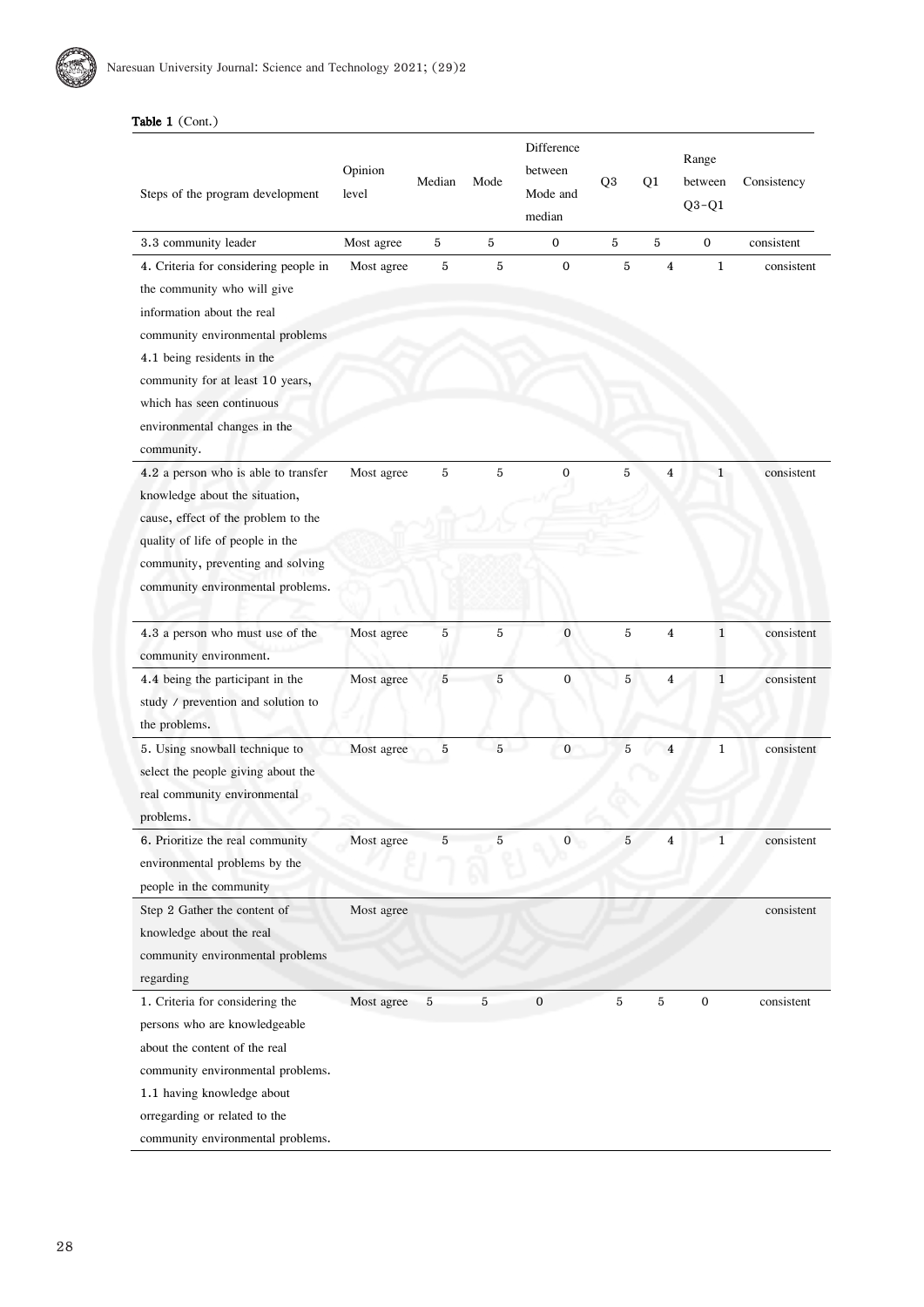# Table 1 (Cont.)

| Steps of the program development                                                                                                                                                                                                                                                    | Opinion<br>level | Median     | Mode        | Difference<br>between<br>Mode and<br>median | Q <sub>3</sub> | Q1             | Range<br>between<br>$Q3-Q1$ | Consistency |
|-------------------------------------------------------------------------------------------------------------------------------------------------------------------------------------------------------------------------------------------------------------------------------------|------------------|------------|-------------|---------------------------------------------|----------------|----------------|-----------------------------|-------------|
| 3.3 community leader                                                                                                                                                                                                                                                                | Most agree       | $\bf 5$    | 5           | 0                                           | $\bf 5$        | $\overline{5}$ | 0                           | consistent  |
| 4. Criteria for considering people in<br>the community who will give<br>information about the real<br>community environmental problems<br>4.1 being residents in the<br>community for at least 10 years,<br>which has seen continuous<br>environmental changes in the<br>community. | Most agree       | 5          | 5           | $\mathbf{0}$                                | $\sqrt{5}$     | $\overline{4}$ | $\mathbf{1}$                | consistent  |
| 4.2 a person who is able to transfer<br>knowledge about the situation,<br>cause, effect of the problem to the<br>quality of life of people in the<br>community, preventing and solving<br>community environmental problems.                                                         | Most agree       | 5          | $\mathbf 5$ | 0                                           | 5              | 4              | 1                           | consistent  |
| 4.3 a person who must use of the<br>community environment.                                                                                                                                                                                                                          | Most agree       | 5          | $\,$ 5 $\,$ | $\boldsymbol{0}$                            | $\overline{5}$ | $\overline{4}$ | $\mathbf{1}$                | consistent  |
| 4.4 being the participant in the<br>study / prevention and solution to<br>the problems.                                                                                                                                                                                             | Most agree       | 5          | 5           | $\mathbf{0}$                                | 5              | $\overline{4}$ | $\mathbf{1}$                | consistent  |
| 5. Using snowball technique to<br>select the people giving about the<br>real community environmental<br>problems.                                                                                                                                                                   | Most agree       | 5          | $5-1$       | $\mathbf{0}$                                | $\overline{5}$ | $\overline{4}$ | $\mathbf{1}$                | consistent  |
| 6. Prioritize the real community<br>environmental problems by the<br>people in the community                                                                                                                                                                                        | Most agree       | 5          | 5           | 0                                           | $\bf 5$        | 4              | $\mathbf{1}$                | consistent  |
| Step 2 Gather the content of<br>knowledge about the real<br>community environmental problems<br>regarding                                                                                                                                                                           | Most agree       |            |             |                                             |                |                |                             | consistent  |
| 1. Criteria for considering the<br>persons who are knowledgeable<br>about the content of the real<br>community environmental problems.<br>1.1 having knowledge about<br>orregarding or related to the<br>community environmental problems.                                          | Most agree       | $\sqrt{5}$ | $\bf 5$     | $\boldsymbol{0}$                            | $\bf 5$        | $\bf 5$        | $\boldsymbol{0}$            | consistent  |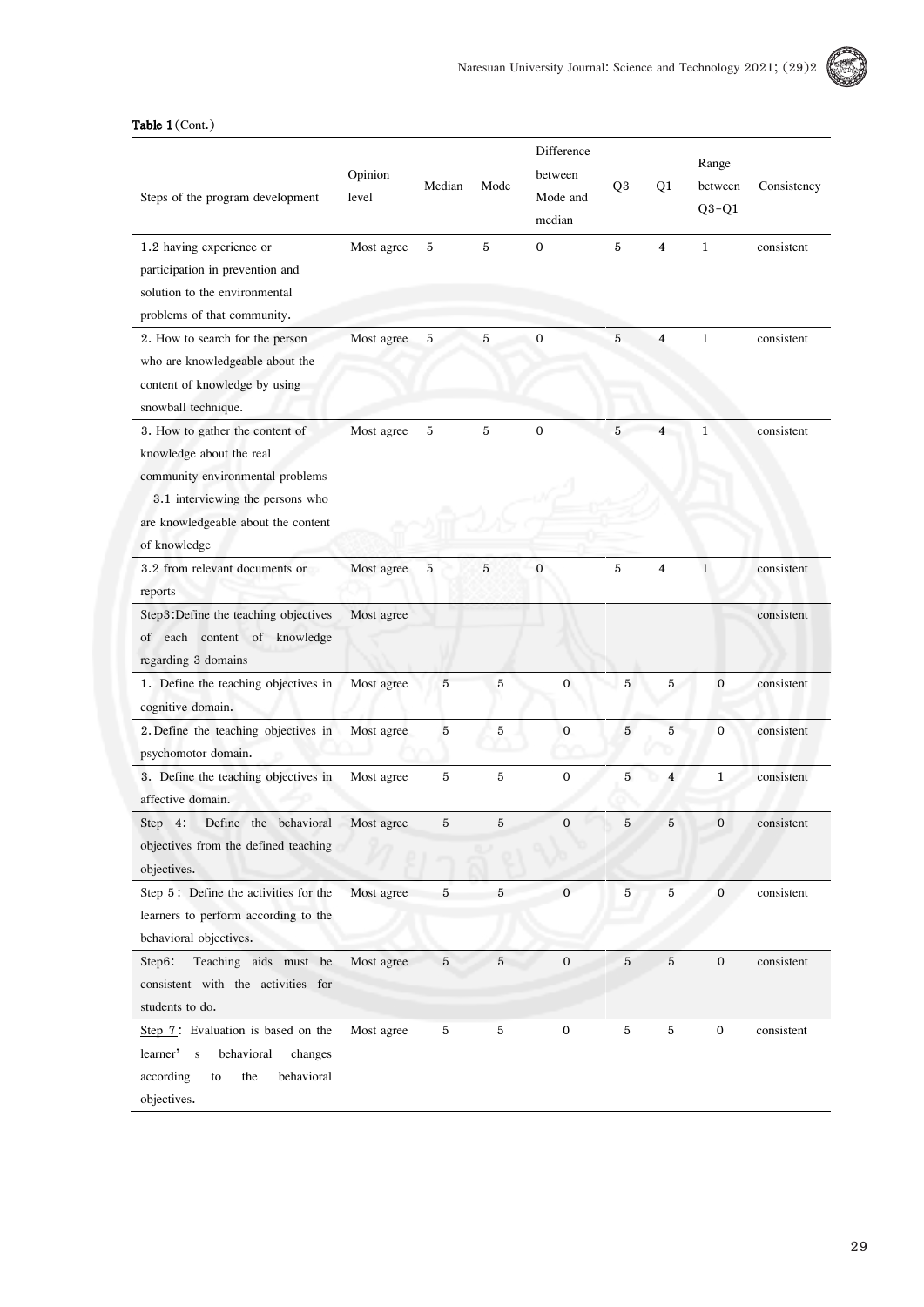

# Table 1(Cont.)

| Steps of the program development                                                                                                                                                           | Opinion<br>level | Median         | Mode           | Difference<br>between<br>Mode and<br>median | Q <sub>3</sub> | Q1                      | Range<br>between<br>$Q3-Q1$ | Consistency |
|--------------------------------------------------------------------------------------------------------------------------------------------------------------------------------------------|------------------|----------------|----------------|---------------------------------------------|----------------|-------------------------|-----------------------------|-------------|
| 1.2 having experience or<br>participation in prevention and<br>solution to the environmental<br>problems of that community.                                                                | Most agree       | 5              | 5              | $\mathbf{0}$                                | 5              | $\overline{4}$          | $\mathbf{1}$                | consistent  |
| 2. How to search for the person<br>who are knowledgeable about the<br>content of knowledge by using<br>snowball technique.                                                                 | Most agree       | $\bf 5$        | 5              | $\boldsymbol{0}$                            | 5              | $\overline{4}$          | $\mathbf{1}$                | consistent  |
| 3. How to gather the content of<br>knowledge about the real<br>community environmental problems<br>3.1 interviewing the persons who<br>are knowledgeable about the content<br>of knowledge | Most agree       | $\mathbf 5$    | 5              | $\mathbf{0}$                                | $\overline{5}$ | 4                       | $\mathbf{1}$                | consistent  |
| 3.2 from relevant documents or<br>reports                                                                                                                                                  | Most agree       | $\overline{5}$ | $\mathbf 5$    | $\bf{0}$                                    | 5              | $\overline{4}$          | $\mathbf{1}$                | consistent  |
| Step3:Define the teaching objectives<br>of each content of knowledge<br>regarding 3 domains                                                                                                | Most agree       |                |                |                                             |                |                         |                             | consistent  |
| 1. Define the teaching objectives in<br>cognitive domain.                                                                                                                                  | Most agree       | $\overline{5}$ | $\sqrt{5}$     | $\boldsymbol{0}$                            | 5              | 5                       | $\mathbf 0$                 | consistent  |
| 2. Define the teaching objectives in<br>psychomotor domain.                                                                                                                                | Most agree       | 5              | 5              | $\mathbf{0}$                                | 5              | 5                       | $\mathbf{0}$                | consistent  |
| 3. Define the teaching objectives in<br>affective domain.                                                                                                                                  | Most agree       | 5              | 5              | $\mathbf{0}$                                | 5              | $\overline{\mathbf{4}}$ | $\mathbf{1}$                | consistent  |
| Step 4:<br>Define the behavioral<br>objectives from the defined teaching<br>objectives.                                                                                                    | Most agree       | 5              | 5              | $\boldsymbol{0}$                            | $\overline{5}$ | 5                       | $\overline{0}$              | consistent  |
| Step 5: Define the activities for the<br>learners to perform according to the<br>behavioral objectives.                                                                                    | Most agree       | 5              | $\overline{5}$ | $\mathbf{0}$                                | $\mathbf 5$    | 5                       | $\mathbf{0}$                | consistent  |
| Teaching aids must be<br>Step6:<br>consistent with the activities for<br>students to do.                                                                                                   | Most agree       | $\overline{5}$ | $\bf 5$        | $\mathbf{0}$                                | $\overline{5}$ | $\bf 5$                 | $\mathbf{0}$                | consistent  |
| Step 7: Evaluation is based on the<br>learner's<br>behavioral<br>changes<br>according<br>behavioral<br>the<br>to<br>objectives.                                                            | Most agree       | 5              | 5              | $\boldsymbol{0}$                            | 5              | 5                       | $\mathbf 0$                 | consistent  |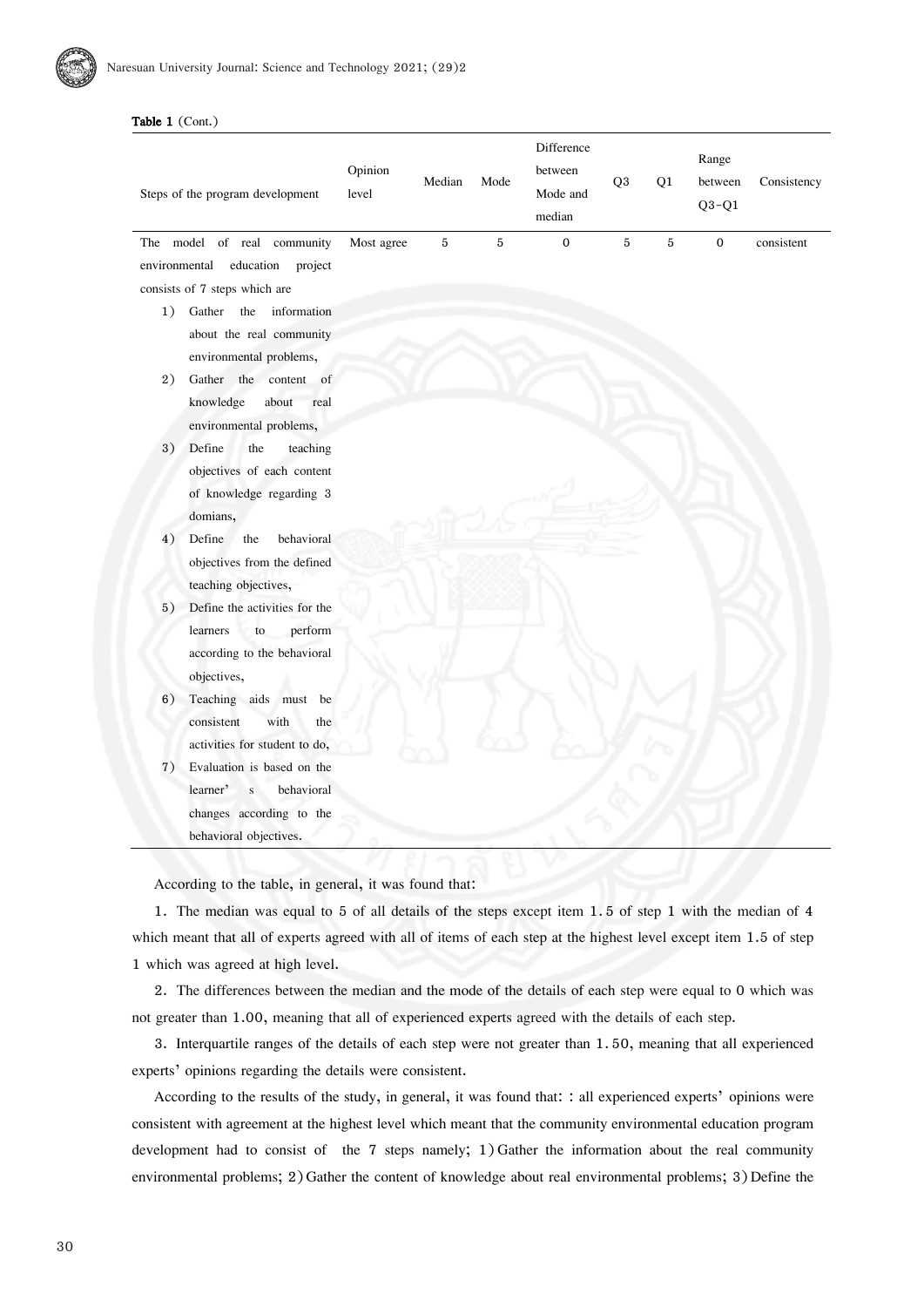# Table 1 (Cont.)

|               | Steps of the program development | Opinion<br>level | Median | Mode | Difference<br>between<br>Mode and<br>median | Q <sub>3</sub> | Q1 | Range<br>between<br>$Q3-Q1$ | Consistency |
|---------------|----------------------------------|------------------|--------|------|---------------------------------------------|----------------|----|-----------------------------|-------------|
|               | The model of real community      | Most agree       | 5      | 5    | $\Omega$                                    | 5              | 5  | $\Omega$                    | consistent  |
| environmental | education<br>project             |                  |        |      |                                             |                |    |                             |             |
|               | consists of 7 steps which are    |                  |        |      |                                             |                |    |                             |             |
| 1)            | Gather the<br>information        |                  |        |      |                                             |                |    |                             |             |
|               | about the real community         |                  |        |      |                                             |                |    |                             |             |
|               | environmental problems,          |                  |        |      |                                             |                |    |                             |             |
| 2)            | Gather the content of            |                  |        |      |                                             |                |    |                             |             |
|               | knowledge<br>about<br>real       |                  |        |      |                                             |                |    |                             |             |
|               | environmental problems,          |                  |        |      |                                             |                |    |                             |             |
| 3)            | Define<br>the<br>teaching        |                  |        |      |                                             |                |    |                             |             |
|               | objectives of each content       |                  |        |      |                                             |                |    |                             |             |
|               | of knowledge regarding 3         |                  |        |      |                                             |                |    |                             |             |
|               | domians,                         |                  |        |      |                                             |                |    |                             |             |
| 4)            | Define<br>the<br>behavioral      |                  |        |      |                                             |                |    |                             |             |
|               | objectives from the defined      |                  |        |      |                                             |                |    |                             |             |
|               | teaching objectives,             |                  |        |      |                                             |                |    |                             |             |
| 5)            | Define the activities for the    |                  |        |      |                                             |                |    |                             |             |
|               | learners<br>to<br>perform        |                  |        |      |                                             |                |    |                             |             |
|               | according to the behavioral      |                  |        |      |                                             |                |    |                             |             |
|               | objectives,                      |                  |        |      |                                             |                |    |                             |             |
| 6)            | Teaching aids must be            |                  |        |      |                                             |                |    |                             |             |
|               | consistent<br>with<br>the        |                  |        |      |                                             |                |    |                             |             |
|               | activities for student to do,    |                  |        |      |                                             |                |    |                             |             |
| 7)            | Evaluation is based on the       |                  |        |      |                                             |                |    |                             |             |
|               | learner'<br>behavioral<br>S      |                  |        |      |                                             |                |    |                             |             |
|               | changes according to the         |                  |        |      |                                             |                |    |                             |             |
|               | behavioral objectives.           |                  |        |      |                                             |                |    |                             |             |
|               |                                  |                  |        |      |                                             |                |    |                             |             |

According to the table, in general, it was found that:

1. The median was equal to 5 of all details of the steps except item 1. 5 of step 1 with the median of 4 which meant that all of experts agreed with all of items of each step at the highest level except item 1.5 of step 1 which was agreed at high level.

2. The differences between the median and the mode of the details of each step were equal to 0 which was not greater than 1.00, meaning that all of experienced experts agreed with the details of each step.

3. Interquartile ranges of the details of each step were not greater than 1. 50, meaning that all experienced experts' opinions regarding the details were consistent.

According to the results of the study, in general, it was found that: : all experienced experts' opinions were consistent with agreement at the highest level which meant that the community environmental education program development had to consist of the 7 steps namely; 1) Gather the information about the real community environmental problems; 2) Gather the content of knowledge about real environmental problems; 3) Define the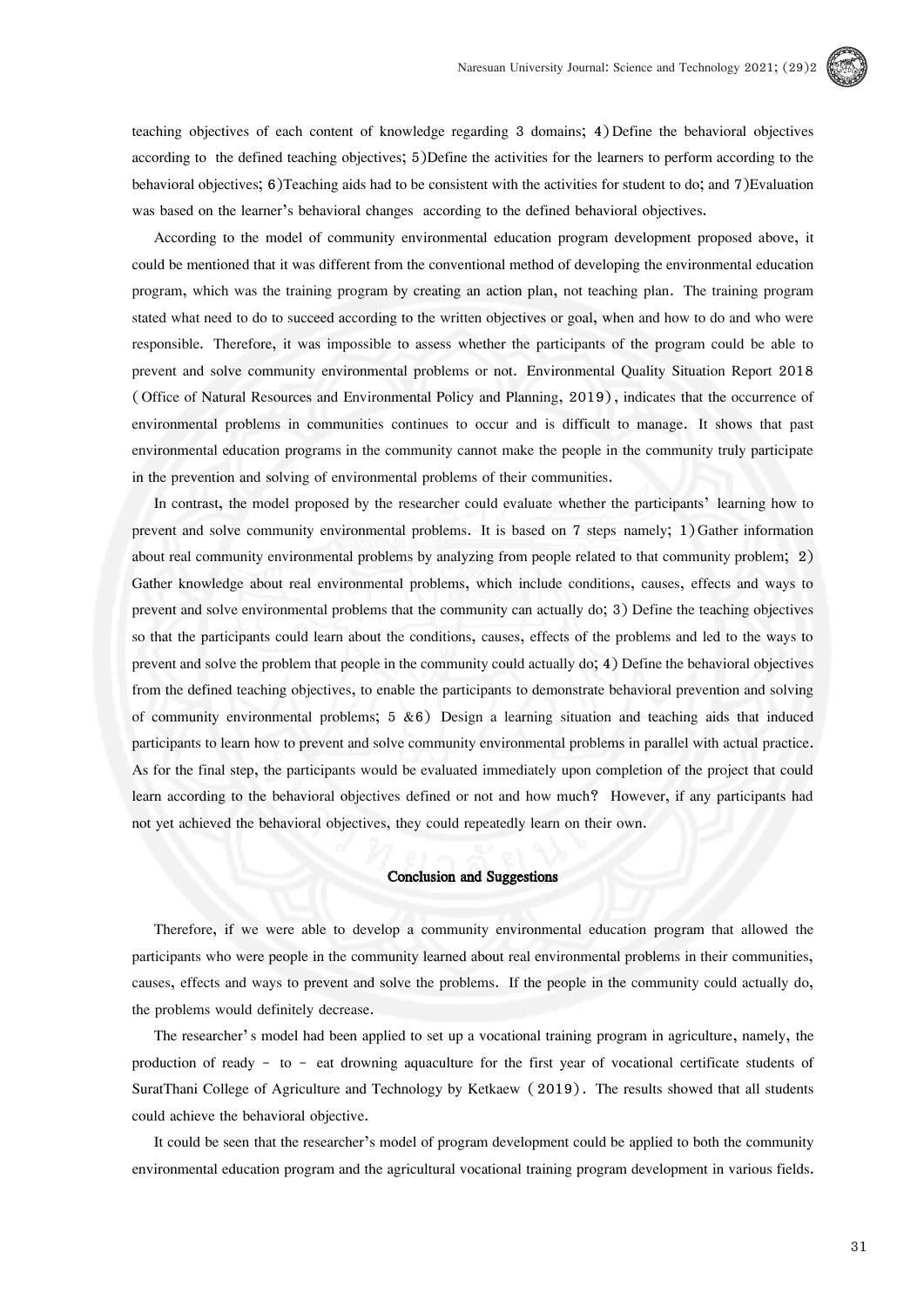

teaching objectives of each content of knowledge regarding 3 domains; 4)Define the behavioral objectives according to the defined teaching objectives; 5)Define the activities for the learners to perform according to the behavioral objectives; 6)Teaching aids had to be consistent with the activities for student to do; and 7)Evaluation was based on the learner's behavioral changes according to the defined behavioral objectives.

According to the model of community environmental education program development proposed above, it could be mentioned that it was different from the conventional method of developing the environmental education program, which was the training program by creating an action plan, not teaching plan. The training program stated what need to do to succeed according to the written objectives or goal, when and how to do and who were responsible. Therefore, it was impossible to assess whether the participants of the program could be able to prevent and solve community environmental problems or not. Environmental Quality Situation Report 2018 (Office of Natural Resources and Environmental Policy and Planning, 2019), indicates that the occurrence of environmental problems in communities continues to occur and is difficult to manage. It shows that past environmental education programs in the community cannot make the people in the community truly participate in the prevention and solving of environmental problems of their communities.

In contrast, the model proposed by the researcher could evaluate whether the participants' learning how to prevent and solve community environmental problems. It is based on 7 steps namely; 1)Gather information about real community environmental problems by analyzing from people related to that community problem; 2) Gather knowledge about real environmental problems, which include conditions, causes, effects and ways to prevent and solve environmental problems that the community can actually do; 3) Define the teaching objectives so that the participants could learn about the conditions, causes, effects of the problems and led to the ways to prevent and solve the problem that people in the community could actually do; 4) Define the behavioral objectives from the defined teaching objectives, to enable the participants to demonstrate behavioral prevention and solving of community environmental problems;  $5 \& 6$ ) Design a learning situation and teaching aids that induced participants to learn how to prevent and solve community environmental problems in parallel with actual practice. As for the final step, the participants would be evaluated immediately upon completion of the project that could learn according to the behavioral objectives defined or not and how much? However, if any participants had not yet achieved the behavioral objectives, they could repeatedly learn on their own.

# Conclusion and Suggestions

Therefore, if we were able to develop a community environmental education program that allowed the participants who were people in the community learned about real environmental problems in their communities, causes, effects and ways to prevent and solve the problems. If the people in the community could actually do, the problems would definitely decrease.

The researcher's model had been applied to set up a vocational training program in agriculture, namely, the production of ready - to - eat drowning aquaculture for the first year of vocational certificate students of SuratThani College of Agriculture and Technology by Ketkaew ( 2019). The results showed that all students could achieve the behavioral objective.

It could be seen that the researcher's model of program development could be applied to both the community environmental education program and the agricultural vocational training program development in various fields.